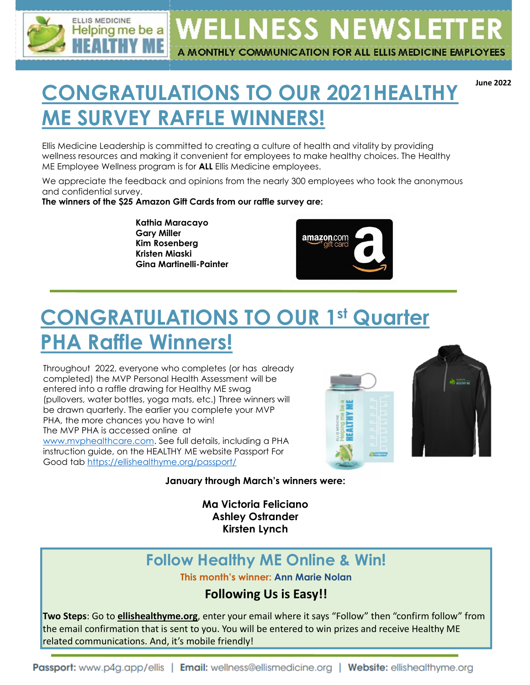

**ELLIS MEDICINE** 

Helping me be a

# **WELLNESS NEWSLETTER**

A MONTHLY COMMUNICATION FOR ALL ELLIS MEDICINE EMPLOYEES

## **CONGRATULATIONS TO OUR 2021 HEALTHY** June 2022 **ME SURVEY RAFFLE WINNERS!**

Ellis Medicine Leadership is committed to creating a culture of health and vitality by providing wellness resources and making it convenient for employees to make healthy choices. The Healthy ME Employee Wellness program is for **ALL** Ellis Medicine employees.

We appreciate the feedback and opinions from the nearly 300 employees who took the anonymous and confidential survey.

**The winners of the \$25 Amazon Gift Cards from our raffle survey are:**

**Kathia Maracayo Gary Miller Kim Rosenberg Kristen Miaski Gina Martinelli-Painter**



## **CONGRATULATIONS TO OUR 1st Quarter PHA Raffle Winners!**

Throughout 2022, everyone who completes (or has already completed) the MVP Personal Health Assessment will be entered into a raffle drawing for Healthy ME swag (pullovers, water bottles, yoga mats, etc.) Three winners will be drawn quarterly. The earlier you complete your MVP PHA, the more chances you have to win! The MVP PHA is accessed online at [www.mvphealthcare.com](https://www.mvphealthcare.com/). See full details, including a PHA instruction guide, on the HEALTHY ME website Passport For Good tab <https://ellishealthyme.org/passport/>





**January through March's winners were:**

**Ma Victoria Feliciano Ashley Ostrander Kirsten Lynch**

## **Follow Healthy ME Online & Win!**

**This month's winner: Ann Marie Nolan** 

### **Following Us is Easy!!**

**Two Steps**: Go to **ellishealthyme.org**, enter your email where it says "Follow" then "confirm follow" from the email confirmation that is sent to you. You will be entered to win prizes and receive Healthy ME related communications. And, it's mobile friendly!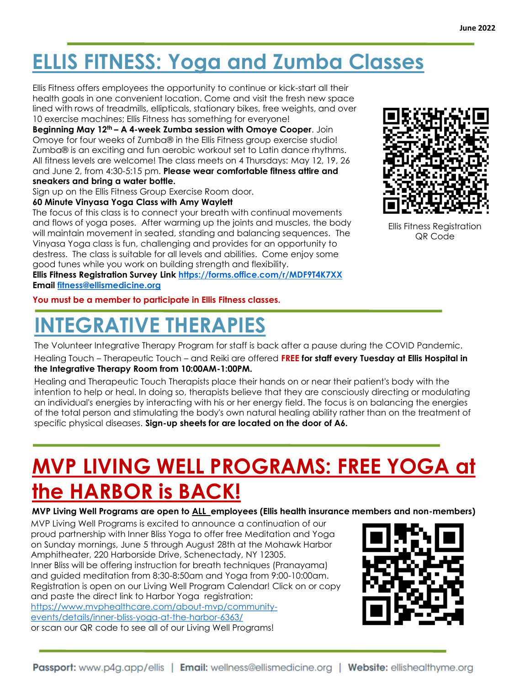## **ELLIS FITNESS: Yoga and Zumba Classes**

Ellis Fitness offers employees the opportunity to continue or kick-start all their health goals in one convenient location. Come and visit the fresh new space lined with rows of treadmills, ellipticals, stationary bikes, free weights, and over 10 exercise machines; Ellis Fitness has something for everyone!

**Beginning May 12th – A 4-week Zumba session with Omoye Cooper**. Join Omoye for four weeks of Zumba® in the Ellis Fitness group exercise studio! Zumba® is an exciting and fun aerobic workout set to Latin dance rhythms. All fitness levels are welcome! The class meets on 4 Thursdays: May 12, 19, 26 and June 2, from 4:30-5:15 pm. **Please wear comfortable fitness attire and** 

#### **sneakers and bring a water bottle.**

Sign up on the Ellis Fitness Group Exercise Room door.

#### **60 Minute Vinyasa Yoga Class with Amy Waylett**

The focus of this class is to connect your breath with continual movements and flows of yoga poses. After warming up the joints and muscles, the body will maintain movement in seated, standing and balancing sequences. The Vinyasa Yoga class is fun, challenging and provides for an opportunity to destress. The class is suitable for all levels and abilities. Come enjoy some good tunes while you work on building strength and flexibility.

**Ellis Fitness Registration Survey Link<https://forms.office.com/r/MDF9T4K7XX> Email [fitness@ellismedicine.org](mailto:fitness@ellismedicine.org)**

**You must be a member to participate in Ellis Fitness classes.** 

## **INTEGRATIVE THERAPIES**

The Volunteer Integrative Therapy Program for staff is back after a pause during the COVID Pandemic.

Healing Touch – Therapeutic Touch – and Reiki are offered **FREE for staff every Tuesday at Ellis Hospital in the Integrative Therapy Room from 10:00AM-1:00PM.**

Healing and Therapeutic Touch Therapists place their hands on or near their patient's body with the intention to help or heal. In doing so, therapists believe that they are consciously directing or modulating an individual's energies by interacting with his or her energy field. The focus is on balancing the energies of the total person and stimulating the body's own natural healing ability rather than on the treatment of specific physical diseases. **Sign-up sheets for are located on the door of A6.**

## **MVP LIVING WELL PROGRAMS: FREE YOGA at the HARBOR is BACK!**

**MVP Living Well Programs are open to ALL employees (Ellis health insurance members and non-members)**

MVP Living Well Programs is excited to announce a continuation of our proud partnership with Inner Bliss Yoga to offer free Meditation and Yoga on Sunday mornings, June 5 through August 28th at the Mohawk Harbor Amphitheater, 220 Harborside Drive, Schenectady, NY 12305. Inner Bliss will be offering instruction for breath techniques (Pranayama) and guided meditation from 8:30-8:50am and Yoga from 9:00-10:00am. Registration is open on our Living Well Program Calendar! Click on or copy and paste the direct link to Harbor Yoga registration: [https://www.mvphealthcare.com/about-mvp/community](https://www.mvphealthcare.com/about-mvp/community-events/details/inner-bliss-yoga-at-the-harbor-6363/)events/details/inner-bliss-yoga-at-the-harbor-6363/ or scan our QR code to see all of our Living Well Programs!



Ellis Fitness Registration QR Code

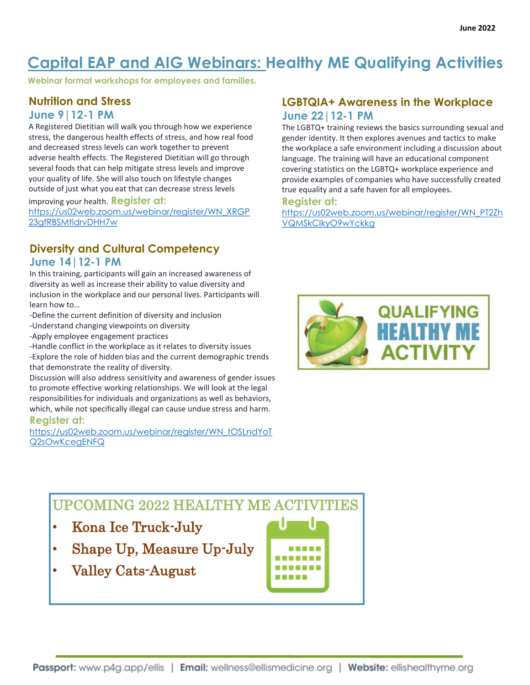## **Capital EAP and AIG Webinars: Healthy ME Qualifying Activities**

**Webinar format workshops for employees and families.** 

### **Nutrition and Stress**

#### **June 9|12-1 PM**

A Registered Dietitian will walk you through how we experience stress, the dangerous health effects of stress, and how real food and decreased stress levels can work together to prevent adverse health effects. The Registered Dietitian will go through several foods that can help mitigate stress levels and improve your quality of life. She will also touch on lifestyle changes outside of just what you eat that can decrease stress levels

#### improving your health. **Register at:**

[https://us02web.zoom.us/webinar/register/WN\\_XRGP](https://us02web.zoom.us/webinar/register/WN_XRGP23gfRBSMtldrvDHH7w) 23gfRBSMtldrvDHH7w

#### **Diversity and Cultural Competency June 14|12-1 PM**

In this training, participants will gain an increased awareness of diversity as well as increase their ability to value diversity and inclusion in the workplace and our personal lives. Participants will learn how to…

- -Define the current definition of diversity and inclusion
- -Understand changing viewpoints on diversity
- -Apply employee engagement practices

-Handle conflict in the workplace as it relates to diversity issues -Explore the role of hidden bias and the current demographic trends that demonstrate the reality of diversity.

Discussion will also address sensitivity and awareness of gender issues to promote effective working relationships. We will look at the legal responsibilities for individuals and organizations as well as behaviors, which, while not specifically illegal can cause undue stress and harm.

#### **Register at:**

[https://us02web.zoom.us/webinar/register/WN\\_tOSLndYoT](https://us02web.zoom.us/webinar/register/WN_tOSLndYoTQ2sOwKcegENFQ) Q2sOwKcegENFQ

#### **LGBTQIA+ Awareness in the Workplace June 22|12-1 PM**

The LGBTQ+ training reviews the basics surrounding sexual and gender identity. It then explores avenues and tactics to make the workplace a safe environment including a discussion about language. The training will have an educational component covering statistics on the LGBTQ+ workplace experience and provide examples of companies who have successfully created true equality and a safe haven for all employees.

#### **Register at:**

[https://us02web.zoom.us/webinar/register/WN\\_PT2Zh](https://us02web.zoom.us/webinar/register/WN_PT2ZhVQMSkCIkyO9wYckkg) VQMSkCIkyO9wYckkg



### UPCOMING 2022 HEALTHY ME ACTIVITIES

- Kona Ice Truck-July
- Shape Up, Measure Up-July
- Valley Cats-August